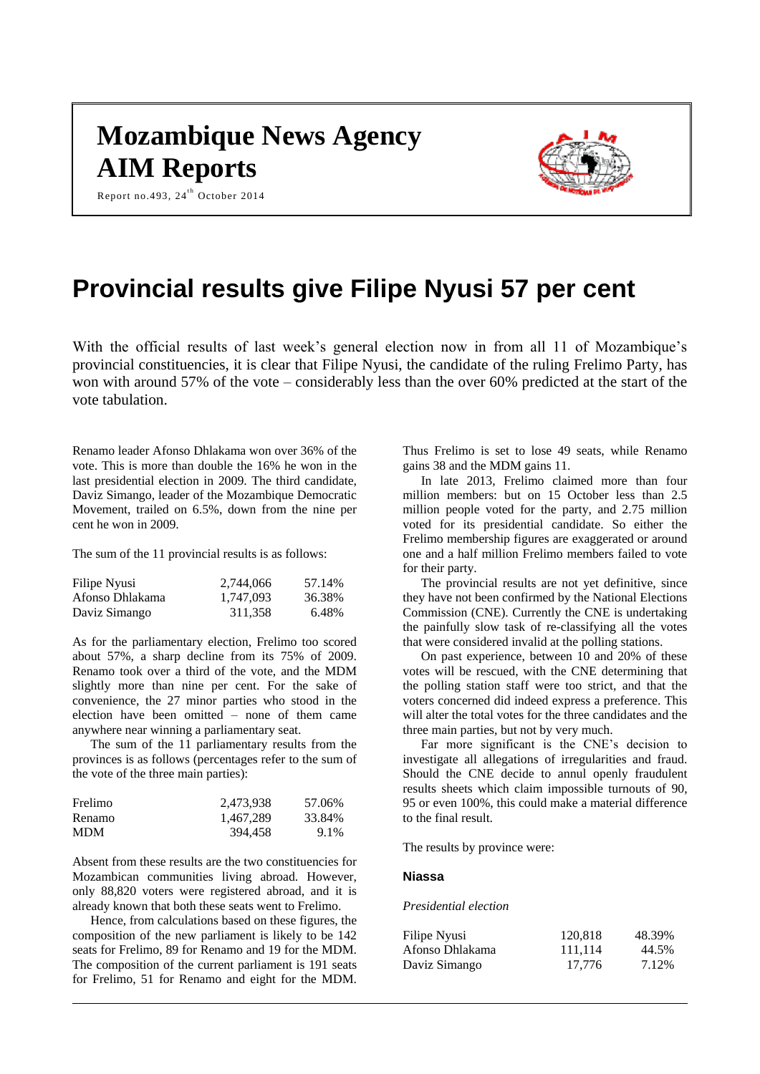# **Mozambique News Agency AIM Reports**

Report no.493,  $24^{th}$  October 2014



## **Provincial results give Filipe Nyusi 57 per cent**

With the official results of last week's general election now in from all 11 of Mozambique's provincial constituencies, it is clear that Filipe Nyusi, the candidate of the ruling Frelimo Party, has won with around 57% of the vote – considerably less than the over 60% predicted at the start of the vote tabulation.

Renamo leader Afonso Dhlakama won over 36% of the vote. This is more than double the 16% he won in the last presidential election in 2009. The third candidate, Daviz Simango, leader of the Mozambique Democratic Movement, trailed on 6.5%, down from the nine per cent he won in 2009.

The sum of the 11 provincial results is as follows:

| Filipe Nyusi    | 2,744,066 | 57.14% |
|-----------------|-----------|--------|
| Afonso Dhlakama | 1.747.093 | 36.38% |
| Daviz Simango   | 311,358   | 6.48%  |

As for the parliamentary election, Frelimo too scored about 57%, a sharp decline from its 75% of 2009. Renamo took over a third of the vote, and the MDM slightly more than nine per cent. For the sake of convenience, the 27 minor parties who stood in the election have been omitted – none of them came anywhere near winning a parliamentary seat.

The sum of the 11 parliamentary results from the provinces is as follows (percentages refer to the sum of the vote of the three main parties):

| Frelimo    | 2.473.938 | 57.06% |  |
|------------|-----------|--------|--|
| Renamo     | 1,467,289 | 33.84% |  |
| <b>MDM</b> | 394,458   | 9.1%   |  |

Absent from these results are the two constituencies for Mozambican communities living abroad. However, only 88,820 voters were registered abroad, and it is already known that both these seats went to Frelimo.

Hence, from calculations based on these figures, the composition of the new parliament is likely to be 142 seats for Frelimo, 89 for Renamo and 19 for the MDM. The composition of the current parliament is 191 seats for Frelimo, 51 for Renamo and eight for the MDM.

Thus Frelimo is set to lose 49 seats, while Renamo gains 38 and the MDM gains 11.

In late 2013, Frelimo claimed more than four million members: but on 15 October less than 2.5 million people voted for the party, and 2.75 million voted for its presidential candidate. So either the Frelimo membership figures are exaggerated or around one and a half million Frelimo members failed to vote for their party.

The provincial results are not yet definitive, since they have not been confirmed by the National Elections Commission (CNE). Currently the CNE is undertaking the painfully slow task of re-classifying all the votes that were considered invalid at the polling stations.

On past experience, between 10 and 20% of these votes will be rescued, with the CNE determining that the polling station staff were too strict, and that the voters concerned did indeed express a preference. This will alter the total votes for the three candidates and the three main parties, but not by very much.

Far more significant is the CNE's decision to investigate all allegations of irregularities and fraud. Should the CNE decide to annul openly fraudulent results sheets which claim impossible turnouts of 90, 95 or even 100%, this could make a material difference to the final result.

The results by province were:

#### **Niassa**

*Presidential election*

| Filipe Nyusi    | 120.818 | 48.39% |
|-----------------|---------|--------|
| Afonso Dhlakama | 111.114 | 44.5%  |
| Daviz Simango   | 17.776  | 7.12%  |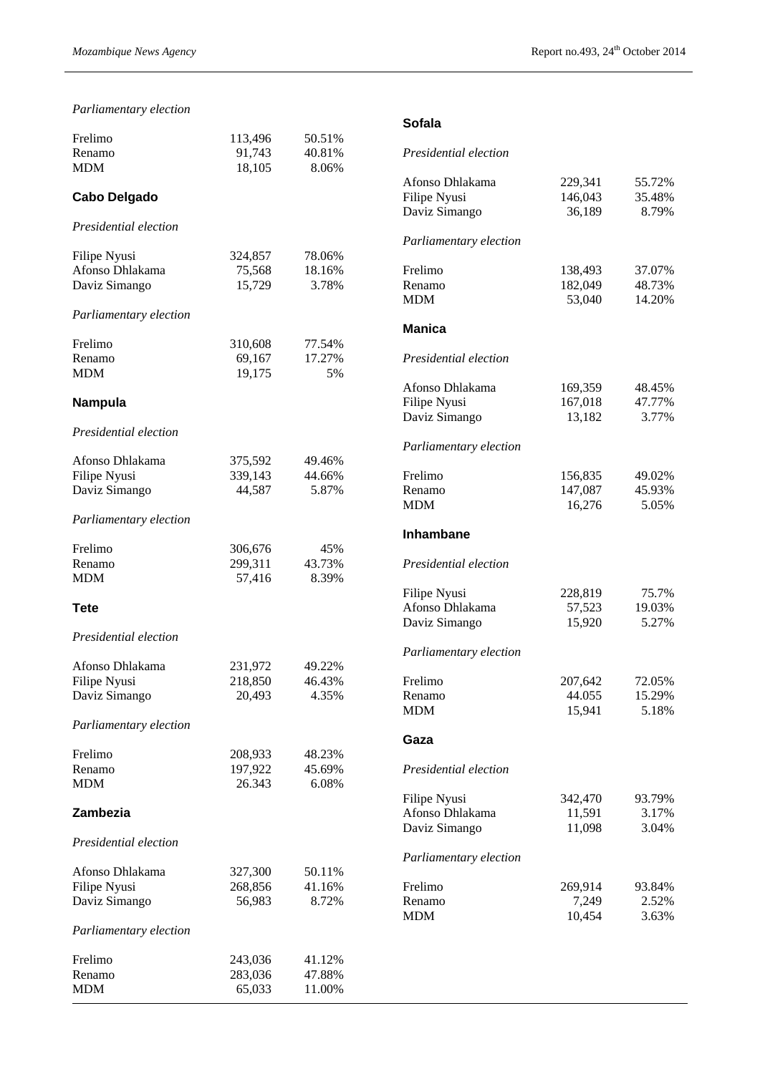### *Parliamentary election*

|                        |         |        | <b>Sofala</b>          |                 |                |
|------------------------|---------|--------|------------------------|-----------------|----------------|
| Frelimo                | 113,496 | 50.51% |                        |                 |                |
| Renamo                 | 91,743  | 40.81% | Presidential election  |                 |                |
| <b>MDM</b>             | 18,105  | 8.06%  |                        |                 |                |
|                        |         |        | Afonso Dhlakama        | 229,341         | 55.72%         |
| <b>Cabo Delgado</b>    |         |        | Filipe Nyusi           | 146,043         | 35.48%         |
| Presidential election  |         |        | Daviz Simango          | 36,189          | 8.79%          |
|                        |         |        | Parliamentary election |                 |                |
| Filipe Nyusi           | 324,857 | 78.06% |                        |                 |                |
| Afonso Dhlakama        | 75,568  | 18.16% | Frelimo                | 138,493         | 37.07%         |
| Daviz Simango          | 15,729  | 3.78%  | Renamo                 | 182,049         | 48.73%         |
|                        |         |        | <b>MDM</b>             | 53,040          | 14.20%         |
| Parliamentary election |         |        |                        |                 |                |
|                        |         |        | <b>Manica</b>          |                 |                |
| Frelimo                | 310,608 | 77.54% |                        |                 |                |
| Renamo                 | 69,167  | 17.27% | Presidential election  |                 |                |
| <b>MDM</b>             | 19,175  | 5%     |                        |                 |                |
|                        |         |        | Afonso Dhlakama        | 169,359         | 48.45%         |
| Nampula                |         |        | Filipe Nyusi           | 167,018         | 47.77%         |
|                        |         |        | Daviz Simango          | 13,182          | 3.77%          |
| Presidential election  |         |        |                        |                 |                |
|                        |         |        | Parliamentary election |                 |                |
| Afonso Dhlakama        | 375,592 | 49.46% |                        |                 |                |
| Filipe Nyusi           | 339,143 | 44.66% | Frelimo                | 156,835         | 49.02%         |
| Daviz Simango          | 44,587  | 5.87%  | Renamo                 | 147,087         | 45.93%         |
|                        |         |        | <b>MDM</b>             | 16,276          | 5.05%          |
| Parliamentary election |         |        |                        |                 |                |
| Frelimo                | 306,676 | 45%    | Inhambane              |                 |                |
| Renamo                 | 299,311 | 43.73% | Presidential election  |                 |                |
| <b>MDM</b>             | 57,416  | 8.39%  |                        |                 |                |
|                        |         |        | Filipe Nyusi           | 228,819         | 75.7%          |
| <b>Tete</b>            |         |        | Afonso Dhlakama        | 57,523          | 19.03%         |
|                        |         |        | Daviz Simango          | 15,920          | 5.27%          |
| Presidential election  |         |        |                        |                 |                |
|                        |         |        | Parliamentary election |                 |                |
| Afonso Dhlakama        | 231,972 | 49.22% |                        |                 |                |
| Filipe Nyusi           | 218,850 | 46.43% | Frelimo                | 207,642         | 72.05%         |
| Daviz Simango          | 20,493  | 4.35%  | Renamo                 | 44.055          | 15.29%         |
|                        |         |        | <b>MDM</b>             | 15,941          | 5.18%          |
| Parliamentary election |         |        |                        |                 |                |
|                        |         |        | Gaza                   |                 |                |
| Frelimo                | 208,933 | 48.23% |                        |                 |                |
| Renamo                 | 197,922 | 45.69% | Presidential election  |                 |                |
| <b>MDM</b>             | 26.343  | 6.08%  |                        |                 |                |
|                        |         |        | Filipe Nyusi           | 342,470         | 93.79%         |
| Zambezia               |         |        | Afonso Dhlakama        | 11,591          | 3.17%          |
|                        |         |        | Daviz Simango          | 11,098          | 3.04%          |
| Presidential election  |         |        |                        |                 |                |
|                        |         |        | Parliamentary election |                 |                |
| Afonso Dhlakama        | 327,300 | 50.11% |                        |                 |                |
| Filipe Nyusi           | 268,856 | 41.16% | Frelimo                | 269,914         | 93.84%         |
| Daviz Simango          | 56,983  | 8.72%  | Renamo<br><b>MDM</b>   | 7,249<br>10,454 | 2.52%<br>3.63% |
| Parliamentary election |         |        |                        |                 |                |
|                        |         |        |                        |                 |                |
| Frelimo                | 243,036 | 41.12% |                        |                 |                |
| Renamo                 | 283,036 | 47.88% |                        |                 |                |
| <b>MDM</b>             | 65,033  | 11.00% |                        |                 |                |
|                        |         |        |                        |                 |                |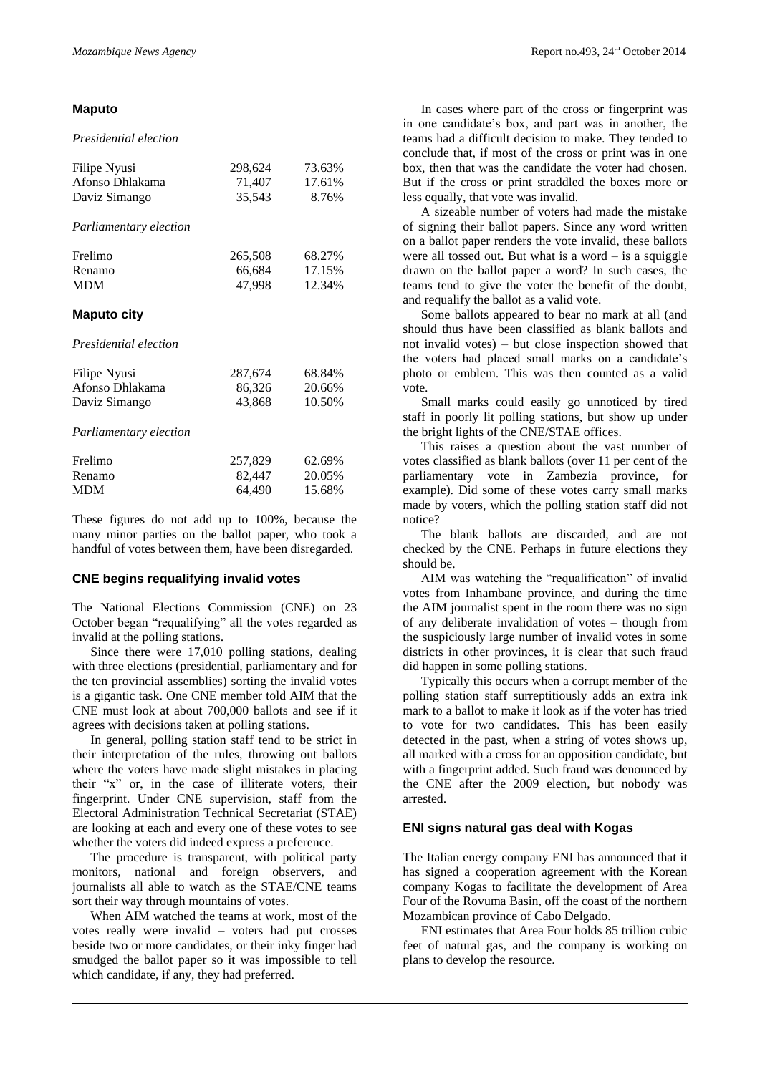#### **Maputo**

#### *Presidential election*

| Filipe Nyusi    | 298.624 | 73.63% |
|-----------------|---------|--------|
| Afonso Dhlakama | 71.407  | 17.61% |
| Daviz Simango   | 35.543  | 8.76%  |

#### *Parliamentary election*

| Frelimo    | 265,508 | 68.27% |
|------------|---------|--------|
| Renamo     | 66.684  | 17.15% |
| <b>MDM</b> | 47.998  | 12.34% |

#### **Maputo city**

#### *Presidential election*

| Filipe Nyusi    | 287,674 | 68.84% |
|-----------------|---------|--------|
| Afonso Dhlakama | 86.326  | 20.66% |
| Daviz Simango   | 43.868  | 10.50% |

#### *Parliamentary election*

| Frelimo    | 257,829 | 62.69% |
|------------|---------|--------|
| Renamo     | 82.447  | 20.05% |
| <b>MDM</b> | 64.490  | 15.68% |

These figures do not add up to 100%, because the many minor parties on the ballot paper, who took a handful of votes between them, have been disregarded.

#### **CNE begins requalifying invalid votes**

The National Elections Commission (CNE) on 23 October began "requalifying" all the votes regarded as invalid at the polling stations.

Since there were 17,010 polling stations, dealing with three elections (presidential, parliamentary and for the ten provincial assemblies) sorting the invalid votes is a gigantic task. One CNE member told AIM that the CNE must look at about 700,000 ballots and see if it agrees with decisions taken at polling stations.

In general, polling station staff tend to be strict in their interpretation of the rules, throwing out ballots where the voters have made slight mistakes in placing their "x" or, in the case of illiterate voters, their fingerprint. Under CNE supervision, staff from the Electoral Administration Technical Secretariat (STAE) are looking at each and every one of these votes to see whether the voters did indeed express a preference.

The procedure is transparent, with political party monitors, national and foreign observers, and journalists all able to watch as the STAE/CNE teams sort their way through mountains of votes.

When AIM watched the teams at work, most of the votes really were invalid – voters had put crosses beside two or more candidates, or their inky finger had smudged the ballot paper so it was impossible to tell which candidate, if any, they had preferred.

In cases where part of the cross or fingerprint was in one candidate's box, and part was in another, the teams had a difficult decision to make. They tended to conclude that, if most of the cross or print was in one box, then that was the candidate the voter had chosen. But if the cross or print straddled the boxes more or less equally, that vote was invalid.

A sizeable number of voters had made the mistake of signing their ballot papers. Since any word written on a ballot paper renders the vote invalid, these ballots were all tossed out. But what is a word  $-$  is a squiggle drawn on the ballot paper a word? In such cases, the teams tend to give the voter the benefit of the doubt, and requalify the ballot as a valid vote.

Some ballots appeared to bear no mark at all (and should thus have been classified as blank ballots and not invalid votes) – but close inspection showed that the voters had placed small marks on a candidate's photo or emblem. This was then counted as a valid vote.

Small marks could easily go unnoticed by tired staff in poorly lit polling stations, but show up under the bright lights of the CNE/STAE offices.

This raises a question about the vast number of votes classified as blank ballots (over 11 per cent of the parliamentary vote in Zambezia province, for example). Did some of these votes carry small marks made by voters, which the polling station staff did not notice?

The blank ballots are discarded, and are not checked by the CNE. Perhaps in future elections they should be.

AIM was watching the "requalification" of invalid votes from Inhambane province, and during the time the AIM journalist spent in the room there was no sign of any deliberate invalidation of votes – though from the suspiciously large number of invalid votes in some districts in other provinces, it is clear that such fraud did happen in some polling stations.

Typically this occurs when a corrupt member of the polling station staff surreptitiously adds an extra ink mark to a ballot to make it look as if the voter has tried to vote for two candidates. This has been easily detected in the past, when a string of votes shows up, all marked with a cross for an opposition candidate, but with a fingerprint added. Such fraud was denounced by the CNE after the 2009 election, but nobody was arrested.

#### **ENI signs natural gas deal with Kogas**

The Italian energy company ENI has announced that it has signed a cooperation agreement with the Korean company Kogas to facilitate the development of Area Four of the Rovuma Basin, off the coast of the northern Mozambican province of Cabo Delgado.

ENI estimates that Area Four holds 85 trillion cubic feet of natural gas, and the company is working on plans to develop the resource.